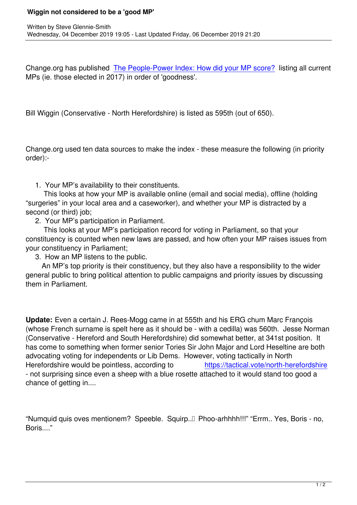Change.org has published The People-Power Index: How did your MP score? listing all current MPs (ie. those elected in 2017) in order of 'goodness'.

Bill Wiggin (Conservative - North Herefordshire) is listed as 595th (out of 650).

Change.org used ten data sources to make the index - these measure the following (in priority order):-

1. Your MP's availability to their constituents.

 This looks at how your MP is available online (email and social media), offline (holding "surgeries" in your local area and a caseworker), and whether your MP is distracted by a second (or third) job;

2. Your MP's participation in Parliament.

Written by Steve Glennie-Smith, and the Steve Glennie-Smith, and the Steve Glennie-Smith, and the Steve Glenni

 This looks at your MP's participation record for voting in Parliament, so that your constituency is counted when new laws are passed, and how often your MP raises issues from your constituency in Parliament;

3. How an MP listens to the public.

An MP's top priority is their constituency, but they also have a responsibility to the wider general public to bring political attention to public campaigns and priority issues by discussing them in Parliament.

**Update:** Even a certain J. Rees-Mogg came in at 555th and his ERG chum Marc François (whose French surname is spelt here as it should be - with a cedilla) was 560th. Jesse Norman (Conservative - Hereford and South Herefordshire) did somewhat better, at 341st position. It has come to something when former senior Tories Sir John Major and Lord Heseltine are both advocating voting for independents or Lib Dems. However, voting tactically in North Herefordshire would be pointless, according to https://tactical.vote/north-herefordshire - not surprising since even a sheep with a blue rosette attached to it would stand too good a chance of getting in....

"Numquid quis oves mentionem? Speeble. Squirp...<sup>[]</sup> Phoo-arhhhh!!!" "Errm.. Yes, Boris - no, Boris...."